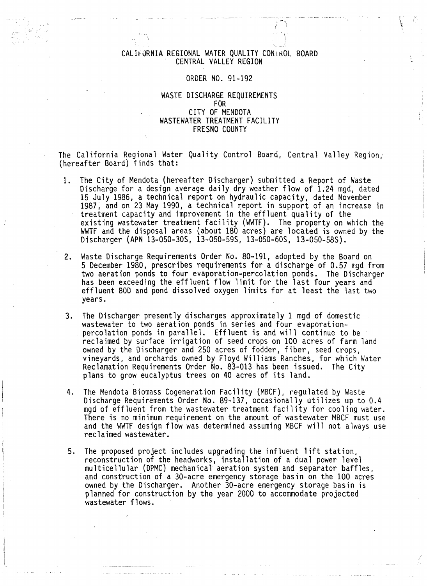## CALifORNIA REGIONAL WATER QUALITY CONtKOL BOARD CENTRAL VALLEY REGION

ર *\:* 

' '"

### ORDER NO. 91-192

## WASTE DISCHARGE REQUIREMENTS FOR CITY OF MENDOTA WASTEWATER TREATMENT FACILITY FRESNO COUNTY

The California Regional Water Quality Control Board, Central Valley Region, (hereafter Board) finds that:

- 1. The City of Mendota (hereafter Discharger) submitted a Report of Waste Discharge for a design average daily dry weather flow of 1.24 mgd, dated 15 July 1986, a technical report on hydraulic capacity, dated November 1987, and on 23 May 1990, a technical report in support of an increase in treatment capacity and improvement in the effluent quality of the existing wastewater treatment facility (WWTF). The property on which the WWTF and the disposal areas (about 180 acres) are located is owned by the Discharger (APN 13-050-30S, 13-050-59S, 13-050-60S, 13-050-58S).
- 2. Waste Discharge Requirements Order No. 80-191, adopted by the Board on 5 December 1980, prescribes requirements for a discharge of 0.57 mgd from two aeration ponds to four evaporation-percolation ponds. The Discharger has been exceeding the effluent flow limit for the last four years and effluent BOD and pond dissolved oxygen limits for at least the last two years.
- 3. The Discharger presently discharges approximately 1 mgd of domestic wastewater to two aeration ponds in series and four evaporation- percolation ponds in parallel. Effluent is and will continue to be reclaimed by surface irrigation of seed crops on 100 acres of farm land owned by the Discharger and 250 acres of fodder, fiber, seed crops, vineyards, and orchards owned by Floyd Williams Ranches, for which Water Reclamation Requirements Order No. 83-013 has been issued. The City plans to grow eucalyptus trees on 40 acres of its land.
- 4. The Mendota Biomass Cogeneration Facility (MBCF), regulated by Wnste Discharge Requirements Order No. 89-137, occasionally utilizes up to 0.4 mgd of effluent from the wastewater treatment facility for cooling water. There is no minimum requirement on the amount of wastewater MBCF must use and the WWTF design flow was determined assuming MBCF will not always use reclaimed wastewater.
- 5. The proposed project includes upgrading the influent lift station, reconstruction of the headworks, installation of a dual power level multicellular (DPMC) mechanical aeration system and separator baffles, and construction of a 30-acre emergency storage basin on the 100 acres owned by the Discharger. Another 30-acre emergency storage basin is planned for construction by the year 2000 to accommodate projected wastewater flows.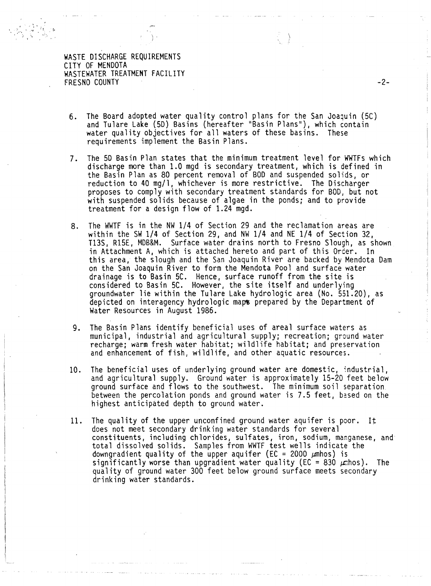) and  $\mathcal{F} = \sum_{i=1}^n \sum_{j=1}^n \mathcal{F}_{\mathcal{F}_i}(\mathbf{x}_i)$  . The set of the set of the set of the set of the set of the set of the set of the set of the set of the set of the set of the set of the set of the set of the set of

- 6. The Board adopted water quality control plans for the San Joaquin (5C) and Tulare Lake (50) Basins (hereafter "Basin Plans''), which contain water quality objectives for all waters of these basins. These requirements implement the Basin Plans.
- 7. The 50 Basin Plan states that the minimum treatment level for WWTFs which discharge more than 1.0 mgd is secondary treatment, which is defined in the Basin Plan as 80 percent removal of BOO and suspended solids, or reduction to 40 mg/1, whichever is more restrictive. The Discharger proposes to comply with secondary treatment standards for BOO, but not with suspended solids because of algae in the ponds; and to provide treatment for a design flow of 1.24 mgd.
- 8. The WWTF is in the NW 1/4 of Section 29 and the reclamation areas are within the SW 1/4 of Section 29, and NW 1/4 and NE 1/4 of Section 32, T13S, R15E, MDB&M. Surface water drains north to Fresno Slough, as shown in Attachment A, which is attached hereto and part of this Order. In this area, the slough and the San Joaquin River are backed by Mendota Dam on the San Joaquin River to form the Mendota Pool and surface water drainage is to Basin 5C. Hence, surface runoff from the site is considered to Basin 5C. However, the site itself and underlying groundwater lie within the Tulare Lake hydrologic area (No. 551.20), as depicted on interagency hydrologic maps prepared by the Department of Water Resources in August 1986.
- 9. The Basin Plans identify beneficial uses of areal surface waters as municipal, industrial and agricultural supply; recreation; ground water recharge; warm fresh water habitat; wildlife habitat; and preservation and enhancement of fish, wildlife, and other aquatic resources.
- 10. The beneficial uses of underlying ground water are domestic, industrial, and agricultural supply. Ground water is approximately 15-20 feet below<br>ground surface and flows to the southwest. The minimum soil separation between the percolation ponds and ground water is 7.5 feet, based on the highest anticipated depth to ground water.
- 11. The quality of the upper unconfined ground water aquifer is poor. It does not meet secondary drinking water standards for several constituents, including chlorides, sulfates, iron, sodium, manganese, and total dissolved solids. Samples from WWTF test wells indicate the downgradient quality of the upper aquifer (EC = 2000  $\mu$ mhos) is significantly worse than upgradient water quality (EC = 830  $\mu$  hos). The quality of ground water 300 feet below ground surface meets secondary drinking water standards.

-2-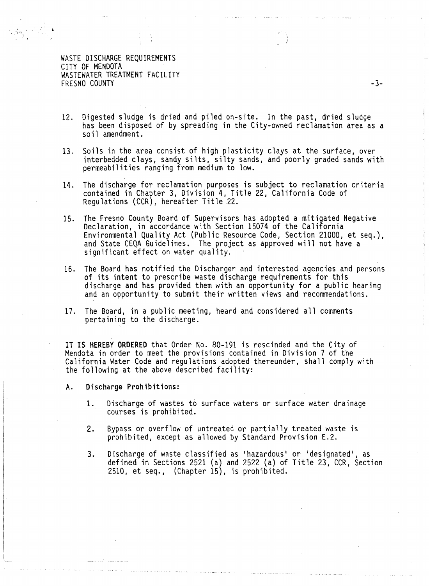' J )

' • ~' t'

12. Digested sludge is dried and piled on-site. In the past, dried sludge has been disposed of by spreading in the City-owned reclamation area as a soil amendment.

*)* 

- 13. Soils in the area consist of high plasticity clays at the surface, over interbedded clays, sandy silts, silty sands, and poorly graded sands with permeabilities ranging from medium to low.
- 14. The discharge for reclamation purposes is subject to reclamation criteria contained in Chapter 3, Division 4, Title 22, California Code of Regulations (CCR), hereafter Title 22.
- 15. The Fresno County Board of Supervisors has adopted a mitigated Negative Declaration, in accordance with Section 15074 of the California Environmental Quality Act (Public Resource Code, Section 21000, et seq.), and State CEQA Guidelines. The project as approved will not have a significant effect on water quality.
- 16. The Board has notified the Discharger and interested agencies and persons of its intent to prescribe waste discharge requirements for this discharge and has provided them with an opportunity for a public hearing and an opportunity to submit their written views and recommendations.
- 17. The Board, in a public meeting, heard and considered all comments pertaining to the discharge.

IT IS HEREBY ORDERED that Order No. 80-191 is rescinded and the City of Mendota in order to meet the provisions contained in Division 7 of the California Water Code and regulations adopted thereunder, shall comply with the following at the above described facility:

A. Discharge Prohibitions:

- 1. Discharge of wastes to surface waters or surface water drainage courses is prohibited.
- 2. Bypass or overflow of untreated or partially treated waste is prohibited, except as allowed by Standard Provision E.2.
- 3. Discharge of waste classified as 'hazardous' or 'designated', as defined in Sections 2521 (a) and 2522 (a) of Title 23, CCR, Section 2510, et seq., (Chapter 15), is prohibited.

-3-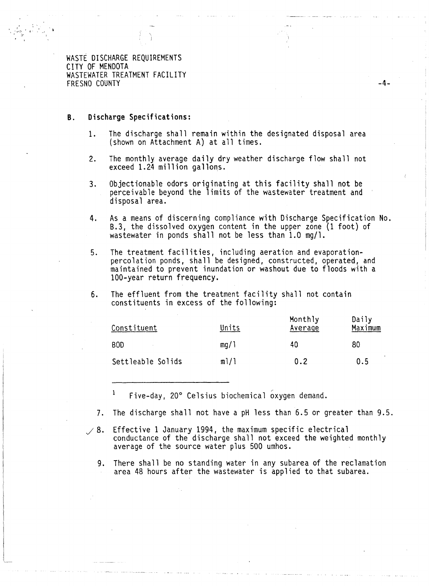$\cdot$   $\stackrel{f}{\sim}$   $\cdot$   $\stackrel{f}{\sim}$  .

#### **B. Discharge Specifications:**

1. The discharge shall remain within the designated disposal area (shown on Attachment A) at all times.

-4-

- 2. The monthly average daily dry weather discharge flow shall not exceed 1.24 million gallons.
- 3. Objectionable odors originating at this facility shall not be perceivable beyond the limits of the wastewater treatment and disposal area.
- 4. As a means of discerning compliance with Discharge Specification No. B.3, the dissolved oxygen content in the upper zone (1 foot) of wastewater in ponds shall not be less than 1.0 mg/1.
- 5. The treatment facilities, including aeration and evaporation- percolation ponds, shall be designed, constructed, operated, and maintained to prevent inundation or washout due to floods with a 100-year return frequency.
- 6. The effluent from the treatment facility shall not contain constituents in excess of the following:

| Constituent          | Units | Monthly<br>Average | Daily<br>Maximum |
|----------------------|-------|--------------------|------------------|
| <b>BOD</b><br>$\sim$ | mq/1  | 40                 | 80               |
| Settleable Solids    | m!/1  | 0.2                | 0.5              |

 $\mathbf 1$ Five-day, 20° Celsius biochemical oxygen demand.

- 7. The discharge shall not have a pH less than 6.5 or greater than 9.5.
- $\angle$  8. Effective 1 January 1994, the maximum specific electrical conductance of the discharge shall not exceed the weighted monthly average of the source water plus 500 umhos.
	- 9. There shall be no standing water in any subarea of the reclamation area 48 hours after the wastewater is applied to that subarea.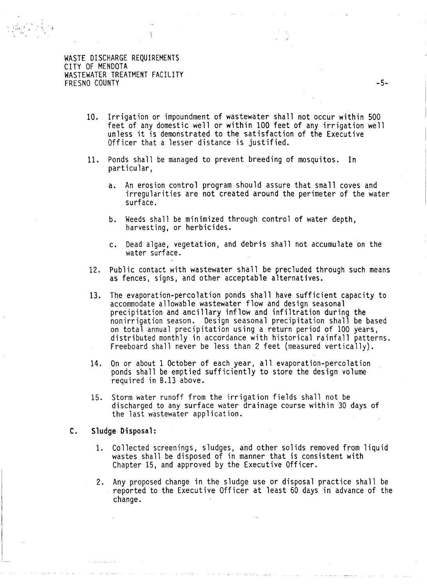$\mathbb{E} \left[ \begin{array}{cc} \mathbb{E} \mathbb{E} \mathbb{E} \left[ \begin{array}{cc} \mathbb{E} \mathbb{E} \mathbb{E} \left[ \mathbb{E} \mathbb{E} \mathbb{E} \right] \mathbb{E} \left[ \mathbb{E} \mathbb{E} \mathbb{E} \right] \mathbb{E} \left[ \mathbb{E} \mathbb{E} \mathbb{E} \right] \mathbb{E} \left[ \mathbb{E} \mathbb{E} \mathbb{E} \mathbb{E} \right] \mathbb{E} \left[ \mathbb{E} \mathbb{E} \mathbb{E} \mathbb{E} \right] \math$ 

- 10. Irrigation or impoundment of wastewater shall not occur within 500 feet of any domestic well or within 100 feet of any irrigation well unless it is demonstrated to the satisfaction of the Executive Officer that a lesser distance is justified.
- 11. Ponds shall be managed to prevent breeding of mosquitos. In particular,
	- a. An erosion control program should assure that small coves and irregularities are not created around the perimeter of the water surface.
	- b. Weeds shall be minimized through control of water depth, harvesting, or herbicides.
	- c. Dead algae, vegetation, and debris shall not accumulate on the water surface.
- 12. Public contact with wastewater shall be precluded through such means as fences, signs, and other acceptable alternatives.
- 13. The evaporation-percolation ponds shall have sufficient capacity to accommodate allowable wastewater flow and design seasonal precipitation and ancillary inflow and infiltration during the nonirrigation season. Design seasonal precipitation shall be based<br>on total annual precipitation using a return period of 100 years, distributed monthly in accordance with historical rainfall patterns. Freeboard shall never be less than 2 feet (measured vertically).
- 14. On or about 1 October of each year, all evaporation-percolation ponds shall be emptied sufficiently to store the design volume required in 8.13 above.
- 15. Storm water runoff from the irrigation fields shall not be discharged to any surface water drainage course within 30 days of the last wastewater application.

#### C. Sludge Disposal:

- 1. Collected screenings, sludges, and other solids removed from liquid wastes shall be disposed of in manner that is consistent with Chapter 15, and approved by the Executive Officer.
- 2. Any proposed change in the sludge use or disposal practice shall be reported to the Executive Officer at least 60 days in advance of the change.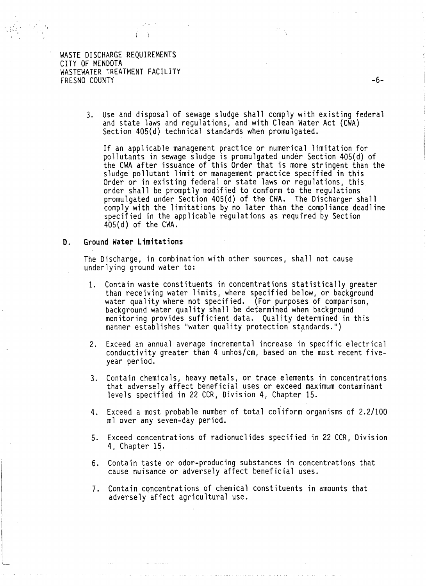$\frac{1}{2}$  is  $\frac{3}{2}$ 

3. Use and disposal of sewage sludge shall comply with existing federal and state laws and regulations, and with Clean Water Act (CWA) Section 405(d) technical standards when promulgated.

If an applicable management practice or numerical limitation for pollutants in sewage sludge is promulgated under Section 405(d) of the CWA after issuance of this Order that is more stringent than the sludge pollutant limit or management practice specified in this Order or in existing federal or state laws or regulations, this<br>order shall be promptly modified to conform to the regulations order shall be promptly modified to conform to the regulations promulgated under Section 405(d) of the CWA. The Discharger shall comply with the limitations by no later than the compliance deadline specified in the applicable regulations as required by Section 405(d) of the CWA.

#### **D.** Ground **Water limitations**

The Discharge, in combination with other sources, shall not cause underlying ground water to:

- 1. Contain waste constituents in concentrations statistically greater than receiving water limits, where specified below, or background water quality where not specified. (For purposes of comparison,<br>background water quality shall be determined when background<br>monitoring provides sufficient data. Quality determined in this manner establishes "water quality protection standards.")
- 2. Exceed an annual average incremental increase in specific electrical conductivity greater than 4 umhos/cm, based on the most recent fiveyear period.
- 3. Contain chemicals, heavy metals, or trace elements in concentrations that adversely affect beneficial uses or exceed maximum contaminant levels specified in 22 CCR, Division 4, Chapter 15.
- 4. Exceed a most probable number of total coliform organisms of 2.2/100 ml over any seven-day period.
- 5. Exceed concentrations of radionuclides specified in 22 CCR, Division 4, Chapter 15.
- 6. Contain taste or odor-producing substances in concentrations that cause nuisance or adversely affect beneficial uses.
- 7. Contain concentrations of chemical constituents in amounts that adversely affect agricultural use.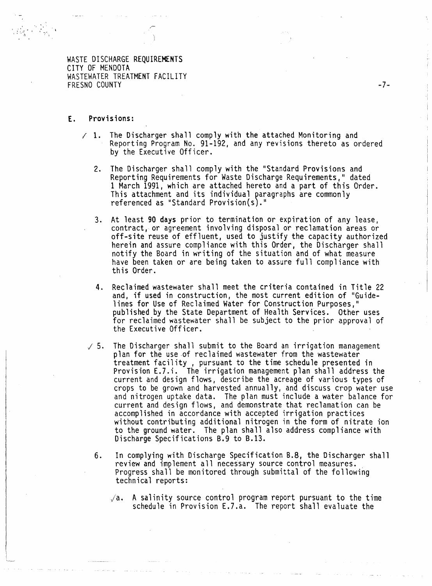## E. Provisions:

 $\frac{1}{2}$  .  $\frac{1}{2}$   $\frac{1}{6}$   $\frac{1}{2}$   $\frac{1}{2}$ 

 $\mathcal{L} \left( \mathcal{L} \right)$ 

- $\neq$  1. The Discharger shall comply with the attached Monitoring and Reporting Program No. 91-192, and any revisions thereto as ordered by the Executive Officer.
	- 2. The Discharger shall comply with the "Standard Provisions and Reporting Requirements for Waste Discharge Requirements," dated 1 March 1991, which are attached hereto and a part of this Order. This attachment and its individual paragraphs are commonly referenced as "Standard Provision(s)."
	- 3. At least 90 days prior to termination or expiration of any lease, contract, or agreement involving disposal or reclamation areas or off-site reuse of effluent, used to justify the capacity authorized herein and assure compliance with this Order, the Discharger shall notify the Board in writing of the situation and of what measure have been taken or are being taken to assure full compliance with this Order.
	- 4. Reclaimed wastewater shall meet the criteria contained in Title 22 and, if used in construction, the most current edition of "Guide-<br>lines for Use of Reclaimed Water for Construction Purposes," published by the State Department of Health Services. Other uses for reclaimed wastewater shall be subject to the prior approval of the Executive Officer.
	- $\sqrt{5}$ . The Discharger shall submit to the Board an irrigation management plan for the use of reclaimed wastewater from the wastewater treatment facility , pursuant to the time schedule presented in Provision E.7.i. The irrigation management plan shall address the current and design flows, describe the acreage of various types of crops to be grown and harvested annually, and discuss crop water use and nitrogen uptake data. The plan must include a water balance for current and design flows, and demonstrate that reclamation can be accomplished in accordance with accepted irrigation practices without contributing additional nitrogen in the form of nitrate ion to the ground water. The plan shall also address compliance with Discharge Specifications 8.9 to 8.13.
		- 6. In complying with Discharge Specification 8.8, the Discharger shall review and implement all necessary source control measures.<br>Progress shall be monitored through submittal of the following<br>technical reports:
			- $\sqrt{a}$ . A salinity source control program report pursuant to the time schedule in Provision E.7.a. The report shall evaluate the

-7-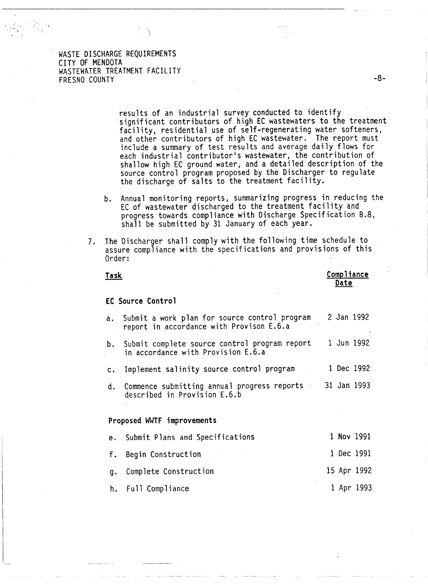.. . '

 $\mathcal{A}_{\mathcal{A}_{\mathcal{A}}}$ 

results of an industrial survey conducted to identify significant contributors of high EC wastewaters to the treatment facility, residential use of self-regenerating water softeners, and other contributors of high EC wastewater. The report must include a summary of test results and average daily flows for each industrial contributor's wastewater, the contribution of shallow high EC ground water, and a detailed description of the source control program proposed by the Discharger to regulate the discharge of salts to the treatment facility.

- b. Annual monitoring reports, summarizing progress in reducing the EC of wastewater discharged to the treatment facility and progress towards compliance with Discharge Specification 8.8, shall be submitted by 31 January of each year.
- 7. The Discharger shall comply with the following time schedule to . assure compliance with the specifications and provisions of this Order:

| Task          |                                                                                              | Compliance<br>Date |
|---------------|----------------------------------------------------------------------------------------------|--------------------|
|               | EC Source Control                                                                            |                    |
|               | a. Submit a work plan for source control program<br>report in accordance with Provison E.6.a | 2 Jan 1992         |
| b.            | Submit complete source control program report<br>in accordance with Provision E.6.a          | 1 Jun 1992         |
| $c_{\bullet}$ | Implement salinity source control program                                                    | 1 Dec 1992         |
| d.            | Commence submitting annual progress reports<br>described in Provision E.6.b                  | 31 Jan 1993        |

#### **Proposed WWTF improvements**

| e. Submit Plans and Specifications |  | 1 Nov 1991  |
|------------------------------------|--|-------------|
| f. Begin Construction              |  | 1 Dec 1991  |
| q. Complete Construction           |  | 15 Apr 1992 |
| h. Full Compliance                 |  | 1 Apr 1993  |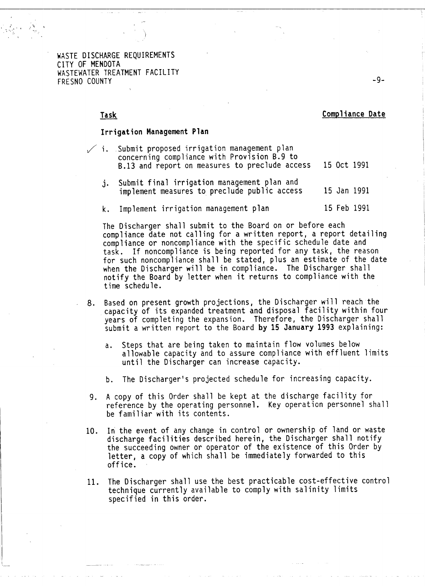1 • ,~, 1 - I -· '-:. <sup>~</sup>  $\mathcal{N}_\mu^{\rm s}$ 

### Task Compliance Date

#### Irrigation Management Plan

|  | $\nearrow$ i. Submit proposed irrigation management plan   |  |
|--|------------------------------------------------------------|--|
|  | concerning compliance with Provision B.9 to                |  |
|  | B.13 and report on measures to preclude access 15 Oct 1991 |  |

- j. Submit final irrigation management plan and implement measures to preclude public access 15 Jan 1991
- k. Implement irrigation management plan 15 Feb 1991

The Discharger shall submit to the Board on or before each compliance date not calling for a written report, a report detailing compliance or noncompliance with the specific schedule date and task. If noncompliance is being reported for any task, the reason for such noncompliance shall be stated, plus an estimate of the date when the Discharger will be in compliance. The Discharger shall notify the Board by letter when it returns to compliance with the time schedule.

- 8. Based on present growth projections, the Discharger will reach the capacity of its expanded treatment and disposal facility within four years of completing the expansion. Therefore, the Discharger shall submit a written report to the Board by 15 January 1993 explaining:
	- a. Steps that are being taken to maintain flow volumes below allowable capacity and to assure compliance with effluent limits until the Discharger can increase capacity.
	- b. The Discharger's projected schedule for increasing capacity.
- 9. A copy of this Order shall be kept at the discharge facility for reference by the operating personnel. Key operation personnel shall be familiar with its contents.
- 10. In the event of any change in control or ownership of land or waste discharge facilities described herein, the Discharger shall notify the succeeding owner or operator of the existence of this Order by letter, a copy of which shall be immediately forwarded to this office.
- 11. The Discharger shall use the best practicable cost-effective control technique currently available to comply with salinity limits specified in this order.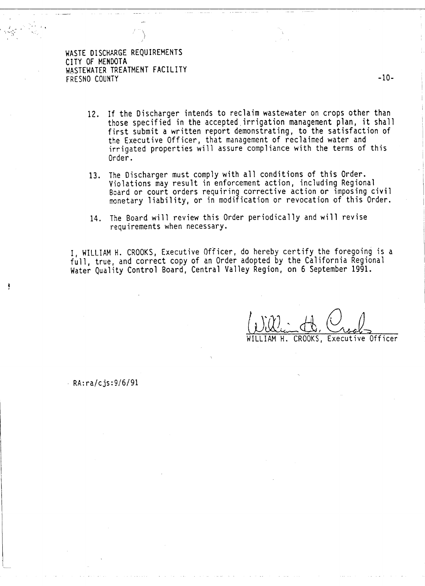- 12. If the Discharger intends to reclaim wastewater on crops other than those specified in the accepted.irrigation management plan, it shall first submit a written report demonstrating, to the satisfaction of the Executive Officer, that management of reclaimed water and irrigated properties will assure compliance with the terms of this Order.
- 13. The Discharger must comply with all conditions of this Order.<br>Violations may result in enforcement action, including Regional Board or court orders requiring corrective action or imposing civil monetary liability, or in modification or revocation of this Order.
- 14. The Board will review this Order periodically and will revise requirements when necessary.

I, WILLIAM H. CROOKS, Executive Officer, do hereby certify the foregoing is a full, true, and correct copy of an Order adopted by the California Regional Water Quality Control Board, Central Valley Region, on 6 September 1991.

IAM H. CROOKS, Executive Officer

 $RA:ra/cjs:9/6/91$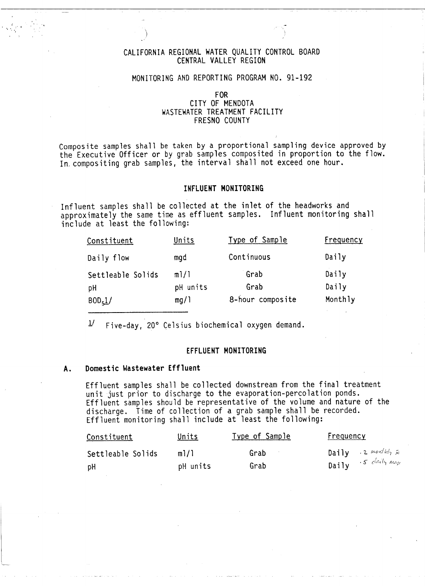## CALIFORNIA REGIONAL WATER QUALITY CONTROL BOARD CENTRAL VALLEY REGION

## MONITORING AND REPORTING PROGRAM NO. 91-192

## FOR CITY OF MENDOTA WASTEWATER TREATMENT FACILITY FRESNO COUNTY

Composite samples shall be taken by a proportional sampling device approved by the Executive Officer or by grab samples composited in proportion to the flow. In, compositing grab samples, the interval shall not exceed one hour.

#### INFLUENT MONITORING

Influent samples shall be collected at the inlet of the headworks and approximately the same time as effluent samples. Influent monitoring shall include at least the following:

| Constituent         | Units    | Type of Sample   | Frequency |
|---------------------|----------|------------------|-----------|
| Daily flow          | mgd      | Continuous       | Daily     |
| Settleable Solids   | m1/1     | Grab             | Daily     |
| pH                  | pH units | Grab             | Daily     |
| BOD <sub>5</sub> 1/ | mg/1     | 8-hour composite | Monthly   |

 $1/$  Five-day, 20° Celsius biochemical oxygen demand.

## EFFLUENT MONITORING

### A. Domestic Wastewater Effluent

Effluent samples shall be collected downstream from the final treatment<br>unit just prior to discharge to the evaporation-percolation ponds. Effluent samples should be representative of the volume and nature of the discharge. Time of collection of a grab sample shall be recorded. Effluent monitoring shall include at least the following:

| Constituent       | <u>Units</u> | Type of Sample | Frequency                 |
|-------------------|--------------|----------------|---------------------------|
| Settleable Solids | m1/1         | Grab           | Daily 2 monthly $\bar{x}$ |
| рH                | pH units     | Grab           | Daily $5$ daily max       |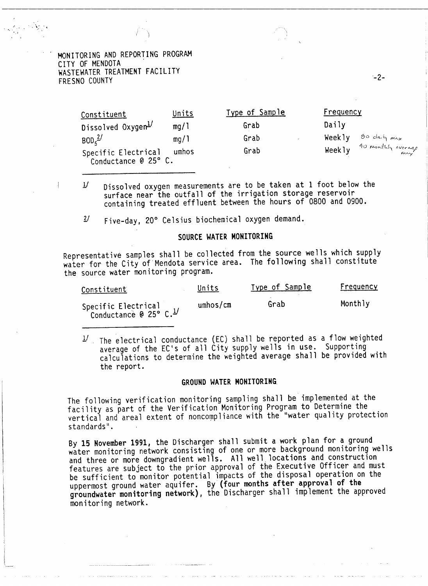MONITORING AND REPORTING PROGRAM<br>CITY OF MENDOTA WASTEWATER TREATMENT FACILITY FRESNO COUNTY

. As  $\sim$ 

...

| Constituent                                 | Units | Type of Sample | Frequency                    |
|---------------------------------------------|-------|----------------|------------------------------|
| Dissolved Oxygen Dissolved                  | mq/1  | Grab           | Daily                        |
| $BOD5^{2/2}$                                | mq/1  | Grab           | go daily max<br>Weekly       |
| Specific Electrical<br>Conductance @ 25° C. | umhos | Grab           | 40 monthly average<br>Weekly |

·-2-

*Y* Dissolved oxygen measurements are to be taken at 1 foot below the surface near the outfall of the irrigation storage reservoir containing treated effluent between the hours of 0800 and 0900.

£/ Five-day, 20° Celsius biochemical oxygen demand.

## SOURCE WATER MONITORING

Representative samples shall be collected from the source wells which supply water for the City of Mendota service area. The following shall constitute the source water monitoring program.

| Constituent                                               | Units    | Type of Sample | <u>Frequency</u> |
|-----------------------------------------------------------|----------|----------------|------------------|
| Specific Electrical<br>Conductance @ 25° C. <sup>1/</sup> | umbos/cm | Grab           | Monthly          |

 $\frac{1}{2}$ . The electrical conductance (EC) shall be reported as a flow weighted average of the EC's of all City supply wells in use. Supporting calculations to determine the weighted average shall be provided with the report.

## GROUND WATER MONITORING

The following verification monitoring sampling shall be implemented at the facility as part of the Verification Monitoring Program to Determine the vertical and areal extent of noncompliance with the "water quality protection standards".

By 15 November 1991, the Discharger shall submit a work plan for a ground water monitoring network consisting of one or more background monitoring wells and three or more downgradient wells. All well. locations and construction features are subject to the prior approval of the Executive Officer and must be sufficient to monitor potential impacts of the disposal operation on the uppermost ground water aquifer. By {four months after approval of the groundwater monitoring network), the Discharger shall implement the approved monitoring network.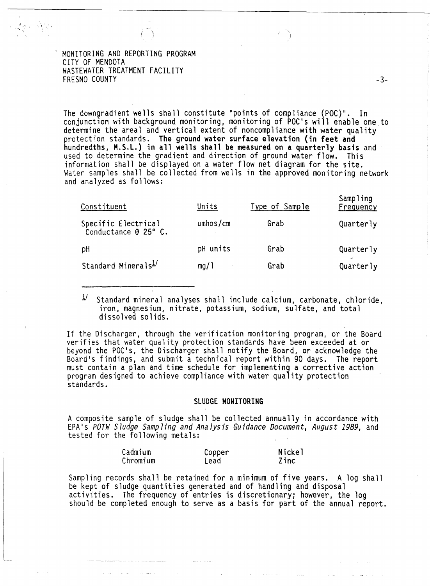MONITORING AND REPORTING PROGRAM CITY OF MENDOTA WASTEWATER TREATMENT FACILITY FRESNO COUNTY **-3-**

 $\left( \begin{array}{c} \end{array} \right)$ 

The downgradient wells shall constitute "points of compliance (POC)". In conjunction with background monitoring, monitoring of POC's will enable one to determine the areal and vertical extent of noncompliance with water quality protection standards. The ground water surface elevation (in feet and hundredths, M.S.L.) in all wells shall be measured on a quarterly basis and used to determine the gradient and direction of ground water flow. This information shall be displayed on a water flow net diagram for the site. Water samples shall be collected from wells in the approved monitoring network and analyzed as follows:

| Constituent                                 | Units    | <u>Type of Sample</u> | Sampling<br>Frequency |
|---------------------------------------------|----------|-----------------------|-----------------------|
| Specific Electrical<br>Conductance @ 25° C. | umbos/cm | Grab                  | Quarterly             |
| pH                                          | pH units | Grab                  | Quarterly             |
| Standard Minerals <sup>1/</sup>             | mq/1     | Grab                  | Quarterly             |

 $1/$  Standard mineral analyses shall include calcium, carbonate, chloride, iron, magnesium, nitrate, potassium, sodium, sulfate, and total dissolved solids.

If the Discharger, through the verification monitoring program, or the Board verifies that water quality protection standards have been exceeded at or beyond the POC's, the Discharger shall notify the Soard, or acknowledge the Board's findings, and submit a technical report within 90 days. The report must contain a plan and time schedule for implementing a corrective action program designed to achieve compliance with water quality protection standards.

#### SLUDGE MONITORING

A composite sample of sludge shall be collected annually in accordance with EPA's POTW Sludge Sampling and Analysis Guidance Document, August 1989, and tested for the following metals:

| Cadmium  | Copper | <b>Nickel</b> |
|----------|--------|---------------|
| Chromium | Lead   | Zinc          |

Sampling records shall be retained for a minimum of five years. A log shall be kept of sludge quantities generated and of handling and disposal activities. The frequency of entries is discretionary; however, the log should be completed enough to serve as a basis for part of the annual report.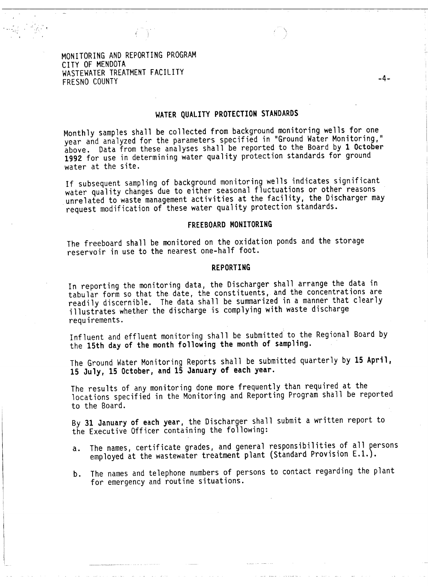MONITORING AND REPORTING PROGRAM CITY OF MENDOTA WASTEWATER TREATMENT FACILITY FRESNO COUNTY

# WATER QUALITY PROTECTION STANDARDS

 $\left( \begin{array}{c} \end{array} \right)$ 

Monthly samples shall be collected from background monitoring wells for one year and analyzed for the parameters specified in "Ground Water Monitoring," above. Data from these analyses shall be reported to the Board by 1 October 1992 for use in determining water quality protection standards for ground water at the site.

If subsequent sampling of background monitoring wells indicates significant water quality changes due to either seasonal fluctuations or other reasons unrelated to waste management activities at the facility, the Discharger may request modification of these water quality protection standards.

### FREEBOARD MONITORING

The freeboard shall be monitored on the oxidation ponds and the storage reservoir in use to the nearest one-half foot.

### REPORTING

In reporting the monitoring data, the Discharger shall arrange the data in tabular form so that the date, the constituents, and the concentrations are readily discernible. The data shall be summarized in a manner that clearly illustrates whether the discharge is complying with waste discharge requirements.

Influent and effluent monitoring shall be submitted to the Regional Board by the 15th day of the month following the month of sampling.

The Ground Water Monitoring Reports shall be submitted quarterly by 15 April, 15 July, 15 October, and 15 January of each year.

The results of any monitoring done more frequently than required at the locations specified in the Monitoring and Reporting Program shall be reported to the Board.

By 31 January of each year, the Discharger shall submit a written report to the Executive Officer containing the following:

- a. The names, certificate grades, and general responsibilities of all persons employed at the wastewater treatment plant (Standard Provision E.l.).
- b. The names and telephone numbers of persons to contact regarding the plant for emergency and routine situations.

-4-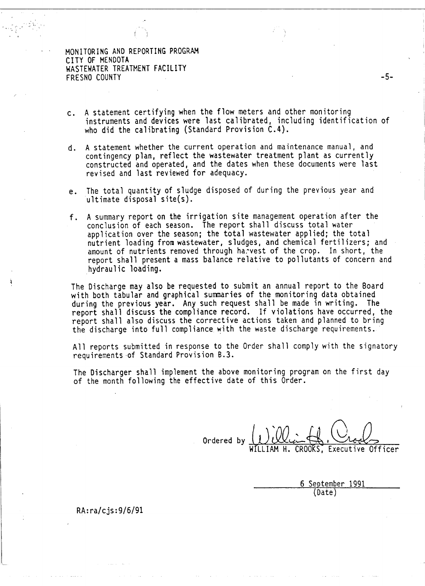MONITORING AND REPORTING PROGRAM CITY OF MENDOTA WASTEWATER TREATMENT FACILITY FRESNO COUNTY FRESNO COUNTY

 $-\frac{1}{2}$ 

- c. A statement certifying when the flow meters and other monitoring instruments and devices were last calibrated, including identification of who did the calibrating (Standard Provision C.4).
- d. A statement whether the current operation and maintenance manual, and contingency plan, reflect the wastewater treatment plant as currently constructed and operated, and the dates when these documents were last revised and last reviewed for adequacy.
- e. The total quantity of sludge disposed of during the previous year and ultimate disposal site $(s)$ .
- f. A summary report on the irrigation site management operation after the conclusion of each season. The report shall discuss total water application over the season; the total wastewater applied; the total nutrient loading from wastewater, sludges, and chemical fertilizers; and amount of nutrients removed through harvest of the crop. In short, the report shall present a mass balance relative to pollutants of concern and hydraulic loading.

The Discharge may also be requested to submit an annual report to the Board with both tabular and graphical summaries of the monitoring data obtained during the previous year. Any such request shall be made in writing. The report shall discuss the compliance record. If violations have occurred, the report shall also discuss the corrective actions taken and planned to bring<br>the discharge into full compliance with the waste discharge requirements.

All reports submitted in response to the Order shall comply with the signatory requirements of Standard Provision B.3.

The Discharger shall implement the above monitoring program on the first day of the month following the effective date of this Order.

Ordered by WfLLIAM William H. Crocks CROOKS. Executive Officer

6 September 1991 (Date)

RA:ra/cjs:9/6/91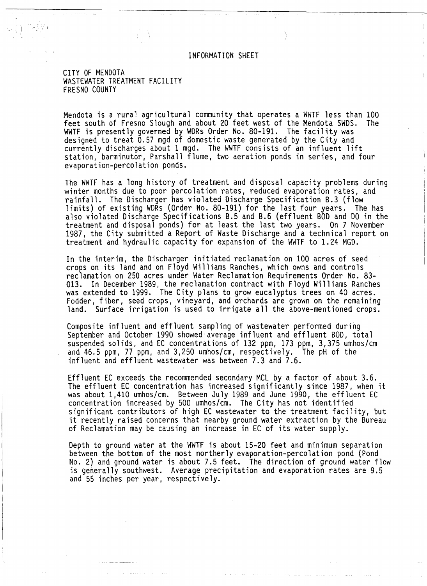INFORMATION SHEET

CITY OF MENDOTA WASTEWATER TREATMENT FACILITY FRESNO COUNTY

Mendota is a rural agricultural community that operates a WWTF less than 100 feet south of Fresno Slough and about 20 feet west of the Mendota SWDS. The WWTF is presently governed by WDRs Order No. 80-191. The facility was designed to treat 0.57 mgd of domestic waste generated by the City and currently discharges about 1 mgd. The WWTF consists of an influent lift station, barminutor, Parshall flume, two aeration ponds in series, and four evaporation-percolation ponds.

The WWTF has a long history of treatment and disposal capacity problems during winter months due to poor percolation rates, reduced evaporation rates, and rainfall. The Discharger has violated Discharge Specification 8.3 (flow limits) of existing WDRs (Order No. 80-191) for the last four years. The has also violated Discharge Specifications B.5 and B.6 (effluent BOD and DO in the treatment and disposal ponds) for at least the last two years. On 7 November 1987, the City submitted a Report of Waste Discharge and a technical report on treatment and hydraulic capacity for expansion of the WWTF to 1.24 MGD.

In the interim, the Discharger initiated reclamation on 100 acres of seed crops on its land and on Floyd Williams Ranches, which owns and controls reclamation on 250 acres under Water Reclamation Requirements Order No. 83- 013. In December 1989, the reclamation contract with Floyd Williams Ranches was extended to 1999. The City plans to grow eucalyptus trees on 40 acres. Fodder, fiber, seed crops, vineyard, and orchards are grown on the remaining land. Surface irrigation is used to irrigate all the above-mentioned crops.

Composite influent and effluent sampling of wastewater performed during September and October 1990 showed average influent and effluent BOD, total suspended solids, and EC concentrations of 132 ppm, 173 ppm, 3,375 umhos/cm and 46.5 ppm, 77 ppm, and 3,250 umhos/cm, respectively. The pH of the influent and effluent wastewater was between 7.3 and 7.6.

Effluent EC exceeds the recommended secondary MCL by a factor of about 3.6. The effluent EC concentration has increased significantly since 1987, when it was about 1,410 umhos/cm. Between July 1989 and June 1990, the effluent EC concentration increased by 500 umhos/cm. The City has not identified significant contributors of high EC wastewater to the treatment facility, but it recently raised concerns that nearby ground water extraction by the Bureau of Reclamation may be causing an increase in EC of its water supply.

Depth to ground water at the WWTF is about 15-20 feet and minimum separation between the bottom of the most northerly evaporation-percolation pond (Pond No. 2) and ground water is about 7.5 feet. The direction of ground water flow is generally southwest. Average precipitation and evaporation rates are 9.5 and 55 inches per year, respectively.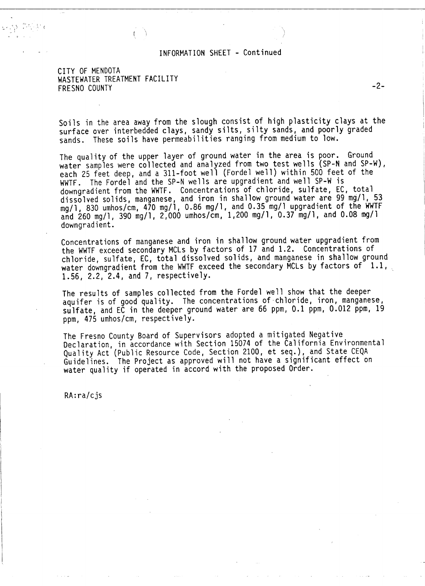## INFORMATION SHEET - Continued

## CITY OF MENDOTA WASTEWATER TREATMENT FACILITY FRESNO COUNTY -2-

 $\mathbf{L} \sim \mathcal{N} \mathcal{Y} \sim \frac{\sigma^2}{\sigma^2} \mathcal{N} \sim \frac{1}{\sigma^2} \mathcal{N}$ .. '

> Soils in the area away from the slough consist of high plasticity clays at the surface over interbedded clays, sandy silts, silty sands, and poorly graded sands. These soils have permeabilities ranging from medium to low.

> The quality of the upper layer of ground water in the area is poor. Ground water samples were collected and analyzed from two test wells (SP-N and SP-W), each 25 feet deep, and a 311-foot well (Fordel well) within 500 feet of the WWTF. The Fordel and the SP-N wells are upgradient and well SP-W is downgradient from the WWTF. Concentrations of chloride, sulfate, EC, total dissolved solids, manganese, and iron in shallow ground water are 99 mg/1, 53 mg/1, 830 umhos/cm, 470 mg/1, 0.86 mg/1, and 0.35 mg/1 upgradient of the WWTF and 260 mg/1, 390 mg/1, 2,000 umhos/cm, 1,200 mg/1, 0.37 mg/1, and 0.08 mg/1 downgradient.

Concentrations of manganese and iron in shallow ground water upgradient from the WWTF exceed secondary MCLs by factors of 17 and 1.2. Concentrations of chloride, sulfate, EC, total dissolved solids, and manganese in shallow ground water downgradient from the WWTF exceed the secondary MCLs by factors of 1.1, 1.56, 2.2, 2.4, and 7, respectively.

The results of samples collected from the Fordel well show that the deeper<br>aquifer is of good quality. The concentrations of chloride, iron, manganese,<br>sulfate, and EC in the deeper ground water are 66 ppm, 0.1 ppm, 0.012 ppm, 475 umhos/cm, respectively.

The Fresno County Board of Supervisors adopted a mitigated Negative Declaration, in accordance with Section 15074 of the California Environmental Quality Act (Public Resource Code, Section 2100, et seq.), and State CEQA Guidelines. The Project as approved will not have a significant effect on water quality if operated in accord with the proposed Order.

RA:ra/cjs